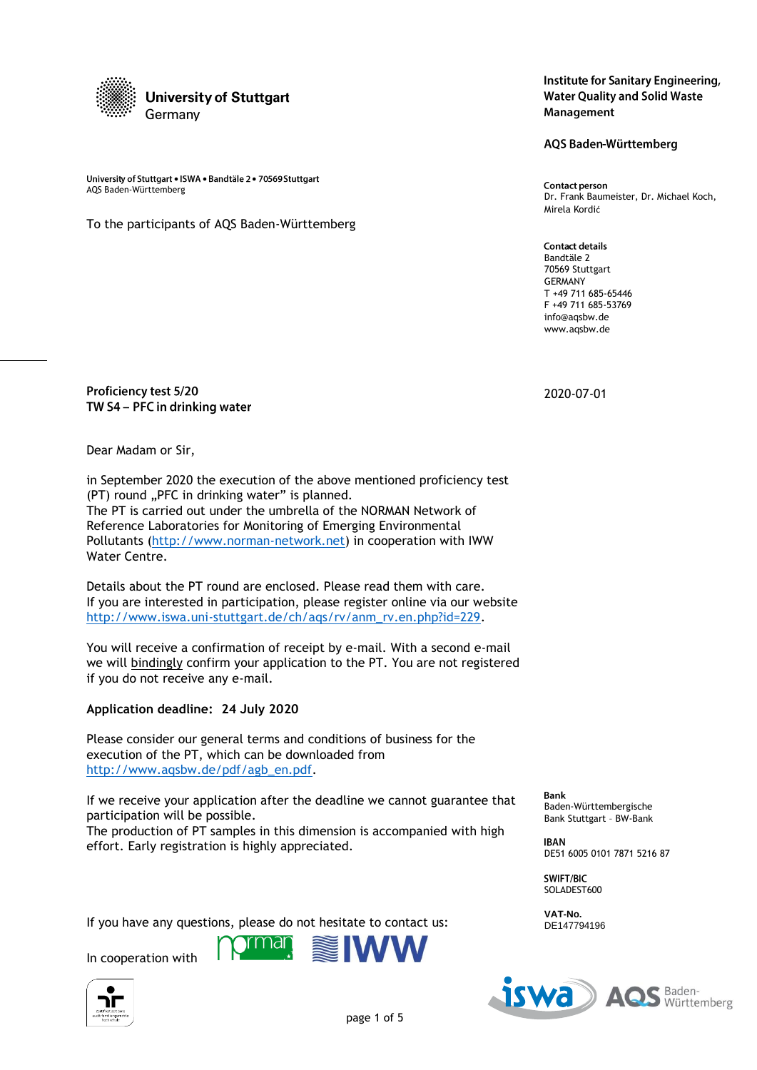

University of Stuttgart . ISWA . Bandtäle 2 . 70569 Stuttgart omversity of stuttgart • ISWA • Bandtale 2 • 70509 Stuttgart<br>AQS Baden-Württemberg Dr. Frank Baumeister, Dr. Michael Koch,

To the participants of AQS Baden-Württemberg

# Proficiency test 5/20 TW S4 - PFC in drinking water

Dear Madam or Sir,

in September 2020 the execution of the above mentioned proficiency test (PT) round "PFC in drinking water" is planned. The PT is carried out under the umbrella of the NORMAN Network of Reference Laboratories for Monitoring of Emerging Environmental Pollutants [\(http://www.norman-network.net\)](http://www.norman-network.net/) in cooperation with IWW Water Centre.

Details about the PT round are enclosed. Please read them with care. If you are interested in participation, please register online via our website [http://www.iswa.uni-stuttgart.de/ch/aqs/rv/anm\\_rv.en.php?id=229.](http://www.iswa.uni-stuttgart.de/ch/aqs/rv/anm_rv.en.php?id=229)

You will receive a confirmation of receipt by e-mail. With a second e-mail we will bindingly confirm your application to the PT. You are not registered if you do not receive any e-mail.

# **Application deadline: 24 July 2020**

Please consider our general terms and conditions of business for the execution of the PT, which can be downloaded from [http://www.aqsbw.de/pdf/agb\\_en.pdf.](http://www.aqsbw.de/pdf/agb_en.pdf)

If we receive your application after the deadline we cannot guarantee that participation will be possible.

The production of PT samples in this dimension is accompanied with high effort. Early registration is highly appreciated.

If you have any questions, please do not hesitate to contact us:

In cooperation with





AQS Baden-Württemberg

Mirela Kordić

**Contact details** Bandtäle 2 70569 Stuttgart GERMANY T +49 711 685-65446 F +49 711 685-53769 info@aqsbw.de www.aqsbw.de

2020-07-01

**Bank** Baden-Württembergische Bank Stuttgart – BW-Bank

**IBAN** DE51 6005 0101 7871 5216 87

SWIFT/BIC SOLADEST600

**VAT-No.** DE147794196

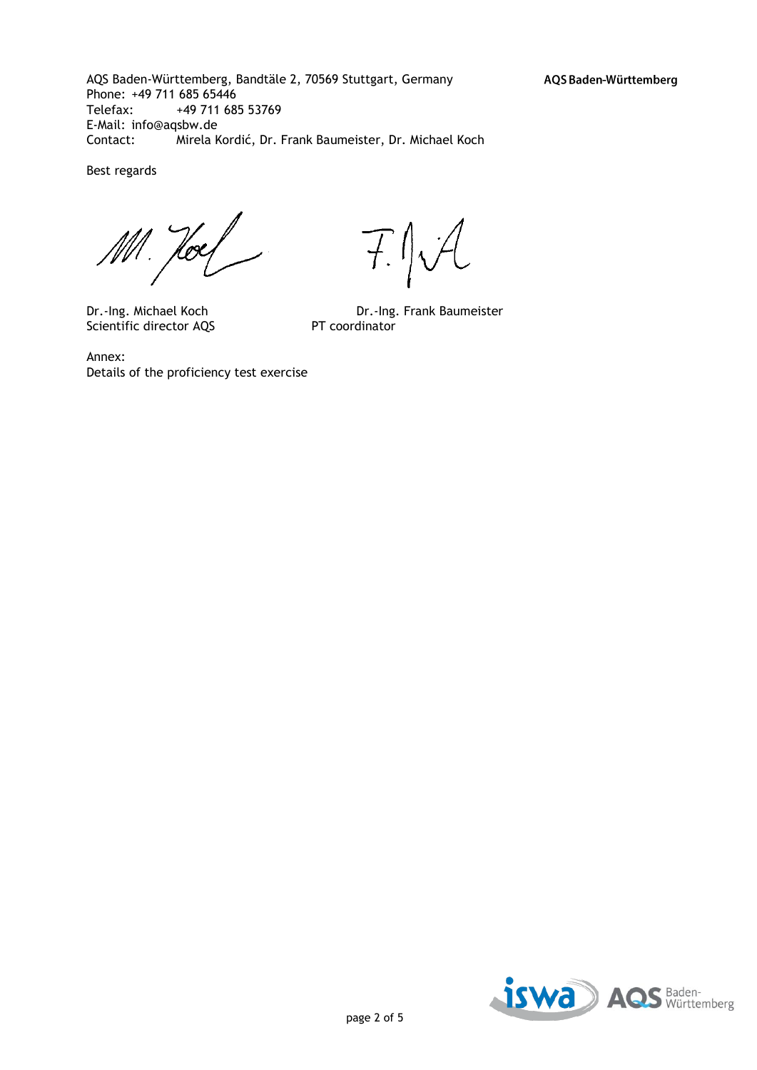AQS Baden-Württemberg, Bandtäle 2, 70569 Stuttgart, Germany Phone: +49 711 685 65446 Telefax: +49 711 685 53769 E-Mail: info@aqsbw.de Contact: Mirela Kordić, Dr. Frank Baumeister, Dr. Michael Koch

Best regards

Ml. Hoey

Scientific director AQS PT coordinator

 $717$ 

Dr.-Ing. Michael Koch Dr.-Ing. Frank Baumeister

Annex: Details of the proficiency test exercise

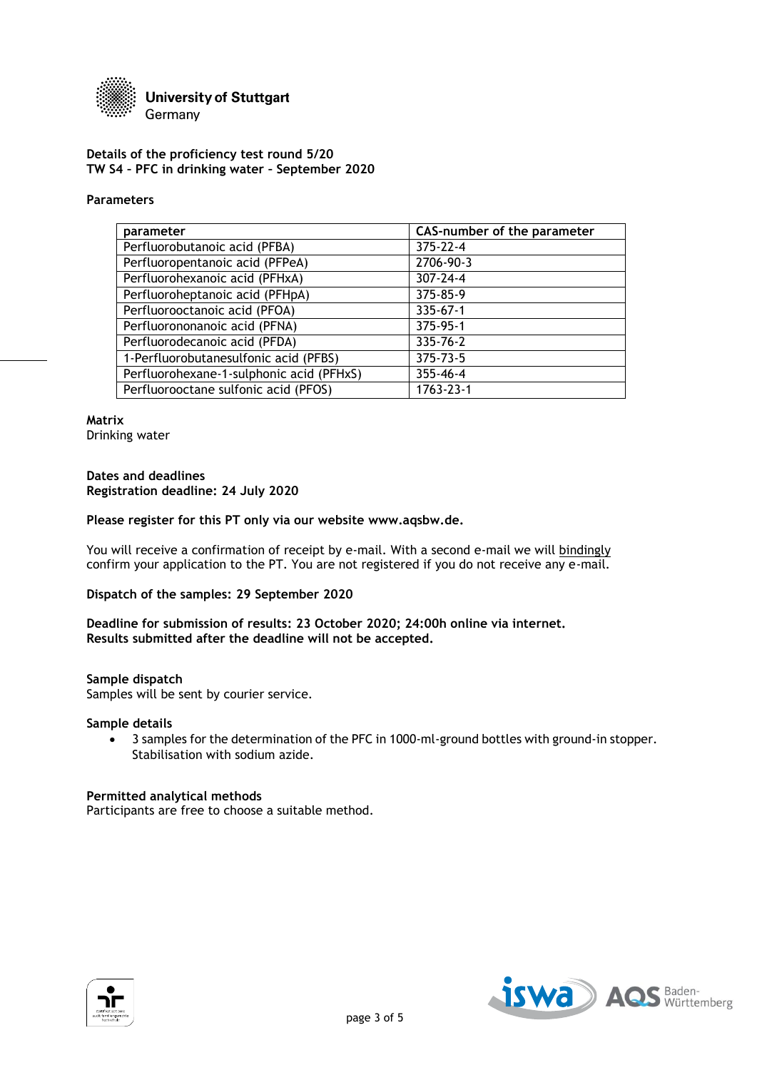

#### **Details of the proficiency test round 5/20 TW S4 – PFC in drinking water – September 2020**

#### **Parameters**

| parameter                                | CAS-number of the parameter |
|------------------------------------------|-----------------------------|
| Perfluorobutanoic acid (PFBA)            | 375-22-4                    |
| Perfluoropentanoic acid (PFPeA)          | 2706-90-3                   |
| Perfluorohexanoic acid (PFHxA)           | $307 - 24 - 4$              |
| Perfluoroheptanoic acid (PFHpA)          | 375-85-9                    |
| Perfluorooctanoic acid (PFOA)            | 335-67-1                    |
| Perfluorononanoic acid (PFNA)            | 375-95-1                    |
| Perfluorodecanoic acid (PFDA)            | 335-76-2                    |
| 1-Perfluorobutanesulfonic acid (PFBS)    | 375-73-5                    |
| Perfluorohexane-1-sulphonic acid (PFHxS) | 355-46-4                    |
| Perfluorooctane sulfonic acid (PFOS)     | 1763-23-1                   |

**Matrix** Drinking water

### **Dates and deadlines Registration deadline: 24 July 2020**

#### **Please register for this PT only via our website www.aqsbw.de.**

You will receive a confirmation of receipt by e-mail. With a second e-mail we will bindingly confirm your application to the PT. You are not registered if you do not receive any e-mail.

# **Dispatch of the samples: 29 September 2020**

#### **Deadline for submission of results: 23 October 2020; 24:00h online via internet. Results submitted after the deadline will not be accepted.**

#### **Sample dispatch**

Samples will be sent by courier service.

#### **Sample details**

 3 samples for the determination of the PFC in 1000-ml-ground bottles with ground-in stopper. Stabilisation with sodium azide.

#### **Permitted analytical methods**

Participants are free to choose a suitable method.



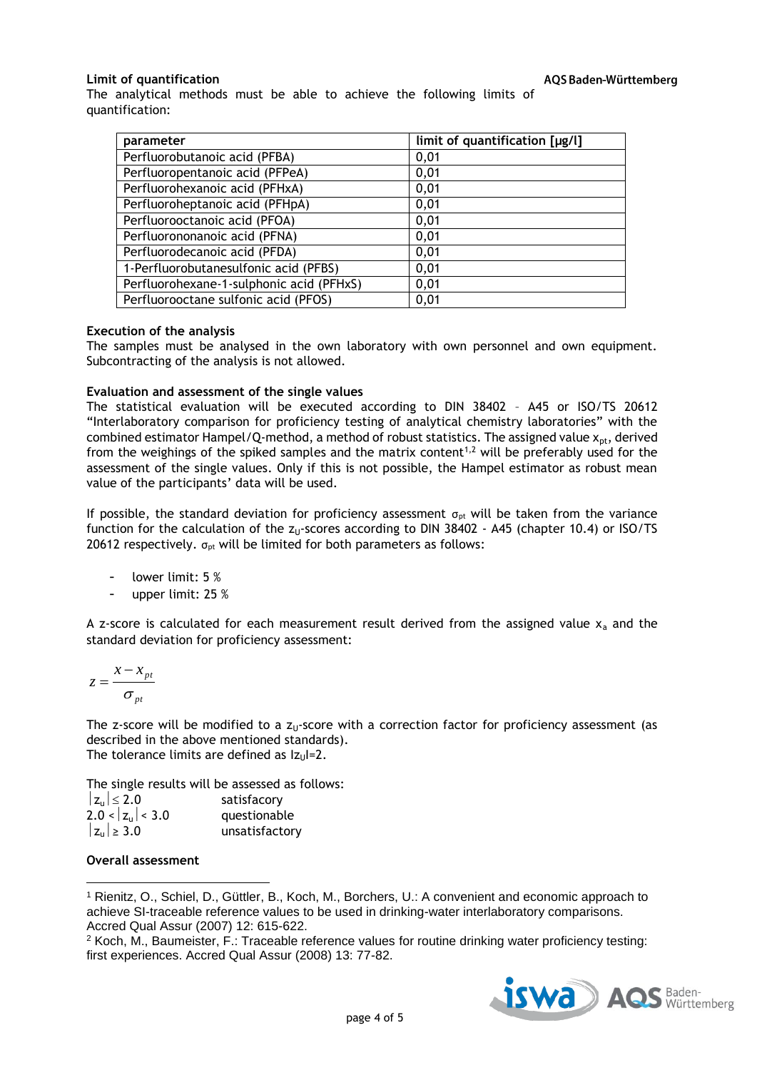# **Limit of quantification**

The analytical methods must be able to achieve the following limits of quantification:

| parameter                                | limit of quantification [µg/l] |
|------------------------------------------|--------------------------------|
| Perfluorobutanoic acid (PFBA)            | 0,01                           |
| Perfluoropentanoic acid (PFPeA)          | 0,01                           |
| Perfluorohexanoic acid (PFHxA)           | 0,01                           |
| Perfluoroheptanoic acid (PFHpA)          | 0,01                           |
| Perfluorooctanoic acid (PFOA)            | 0,01                           |
| Perfluorononanoic acid (PFNA)            | 0,01                           |
| Perfluorodecanoic acid (PFDA)            | 0,01                           |
| 1-Perfluorobutanesulfonic acid (PFBS)    | 0,01                           |
| Perfluorohexane-1-sulphonic acid (PFHxS) | 0,01                           |
| Perfluorooctane sulfonic acid (PFOS)     | 0,01                           |

### **Execution of the analysis**

The samples must be analysed in the own laboratory with own personnel and own equipment. Subcontracting of the analysis is not allowed.

### **Evaluation and assessment of the single values**

The statistical evaluation will be executed according to DIN 38402 – A45 or ISO/TS 20612 "Interlaboratory comparison for proficiency testing of analytical chemistry laboratories" with the combined estimator Hampel/Q-method, a method of robust statistics. The assigned value  $x_{pt}$ , derived from the weighings of the spiked samples and the matrix content<sup>1,2</sup> will be preferably used for the assessment of the single values. Only if this is not possible, the Hampel estimator as robust mean value of the participants' data will be used.

If possible, the standard deviation for proficiency assessment  $\sigma_{pt}$  will be taken from the variance function for the calculation of the  $z<sub>U</sub>$ -scores according to DIN 38402 - A45 (chapter 10.4) or ISO/TS 20612 respectively.  $\sigma_{pt}$  will be limited for both parameters as follows:

- lower limit: 5 %
- upper limit: 25 %

A z-score is calculated for each measurement result derived from the assigned value  $x_a$  and the standard deviation for proficiency assessment:

$$
z = \frac{x - x_{pt}}{\sigma_{pt}}
$$

The z-score will be modified to a  $z_0$ -score with a correction factor for proficiency assessment (as described in the above mentioned standards). The tolerance limits are defined as  $|z_{\text{U}}|=2$ .

The single results will be assessed as follows:

| $ z_{\rm u}  \leq 2.0$       | satisfacory    |
|------------------------------|----------------|
| $2.0 <  z_{\text{u}}  < 3.0$ | questionable   |
| $ z_{\rm u}  \geq 3.0$       | unsatisfactory |

#### **Overall assessment**

 $\overline{\phantom{a}}$ 

<sup>1</sup> Rienitz, O., Schiel, D., Güttler, B., Koch, M., Borchers, U.: A convenient and economic approach to achieve SI-traceable reference values to be used in drinking-water interlaboratory comparisons. Accred Qual Assur (2007) 12: 615-622.

<sup>2</sup> Koch, M., Baumeister, F.: Traceable reference values for routine drinking water proficiency testing: first experiences. Accred Qual Assur (2008) 13: 77-82.